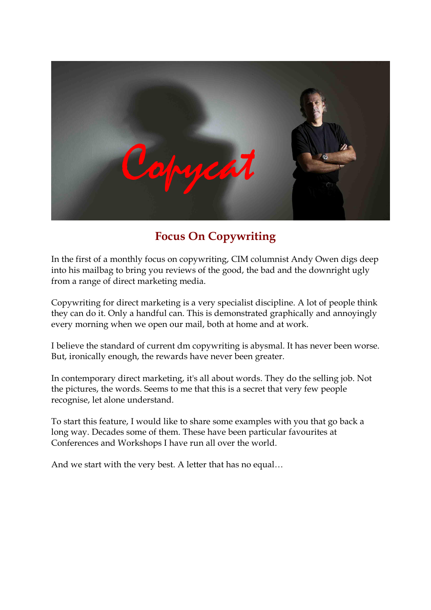

# **Focus On Copywriting**

In the first of a monthly focus on copywriting, CIM columnist Andy Owen digs deep into his mailbag to bring you reviews of the good, the bad and the downright ugly from a range of direct marketing media.

Copywriting for direct marketing is a very specialist discipline. A lot of people think they can do it. Only a handful can. This is demonstrated graphically and annoyingly every morning when we open our mail, both at home and at work.

I believe the standard of current dm copywriting is abysmal. It has never been worse. But, ironically enough, the rewards have never been greater.

In contemporary direct marketing, it's all about words. They do the selling job. Not the pictures, the words. Seems to me that this is a secret that very few people recognise, let alone understand.

To start this feature, I would like to share some examples with you that go back a long way. Decades some of them. These have been particular favourites at Conferences and Workshops I have run all over the world.

And we start with the very best. A letter that has no equal…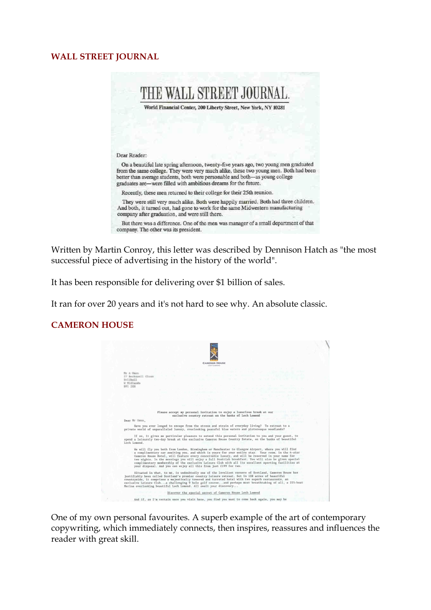#### **WALL STREET JOURNAL**



Written by Martin Conroy, this letter was described by Dennison Hatch as "the most successful piece of advertising in the history of the world".

It has been responsible for delivering over \$1 billion of sales.

It ran for over 20 years and it's not hard to see why. An absolute classic.

### **CAMERON HOUSE**



One of my own personal favourites. A superb example of the art of contemporary copywriting, which immediately connects, then inspires, reassures and influences the reader with great skill.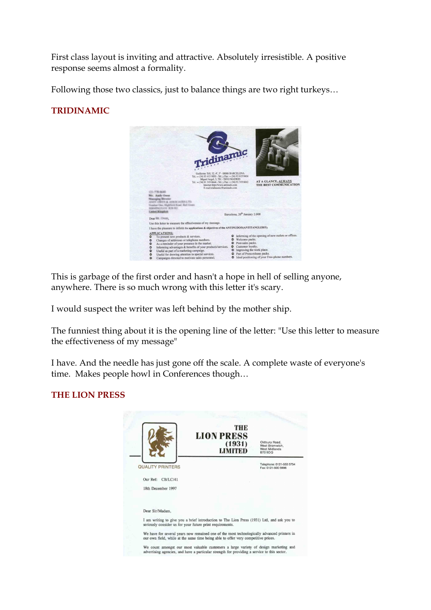First class layout is inviting and attractive. Absolutely irresistible. A positive response seems almost a formality.

Following those two classics, just to balance things are two right turkeys…

## **TRIDINAMIC**



This is garbage of the first order and hasn't a hope in hell of selling anyone, anywhere. There is so much wrong with this letter it's scary.

I would suspect the writer was left behind by the mother ship.

The funniest thing about it is the opening line of the letter: "Use this letter to measure the effectiveness of my message"

I have. And the needle has just gone off the scale. A complete waste of everyone's time. Makes people howl in Conferences though…

### **THE LION PRESS**

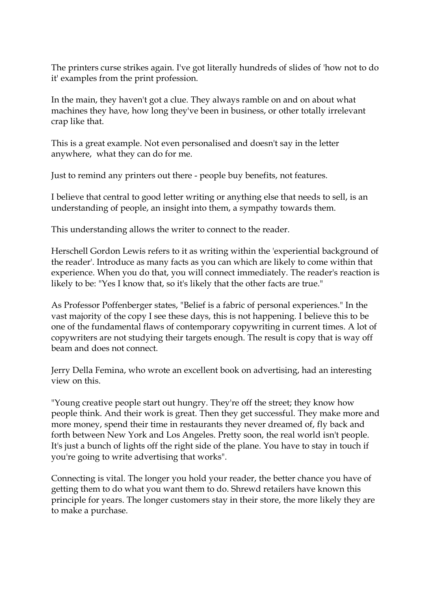The printers curse strikes again. I've got literally hundreds of slides of 'how not to do it' examples from the print profession.

In the main, they haven't got a clue. They always ramble on and on about what machines they have, how long they've been in business, or other totally irrelevant crap like that.

This is a great example. Not even personalised and doesn't say in the letter anywhere, what they can do for me.

Just to remind any printers out there - people buy benefits, not features.

I believe that central to good letter writing or anything else that needs to sell, is an understanding of people, an insight into them, a sympathy towards them.

This understanding allows the writer to connect to the reader.

Herschell Gordon Lewis refers to it as writing within the 'experiential background of the reader'. Introduce as many facts as you can which are likely to come within that experience. When you do that, you will connect immediately. The reader's reaction is likely to be: "Yes I know that, so it's likely that the other facts are true."

As Professor Poffenberger states, "Belief is a fabric of personal experiences." In the vast majority of the copy I see these days, this is not happening. I believe this to be one of the fundamental flaws of contemporary copywriting in current times. A lot of copywriters are not studying their targets enough. The result is copy that is way off beam and does not connect.

Jerry Della Femina, who wrote an excellent book on advertising, had an interesting view on this.

"Young creative people start out hungry. They're off the street; they know how people think. And their work is great. Then they get successful. They make more and more money, spend their time in restaurants they never dreamed of, fly back and forth between New York and Los Angeles. Pretty soon, the real world isn't people. It's just a bunch of lights off the right side of the plane. You have to stay in touch if you're going to write advertising that works".

Connecting is vital. The longer you hold your reader, the better chance you have of getting them to do what you want them to do. Shrewd retailers have known this principle for years. The longer customers stay in their store, the more likely they are to make a purchase.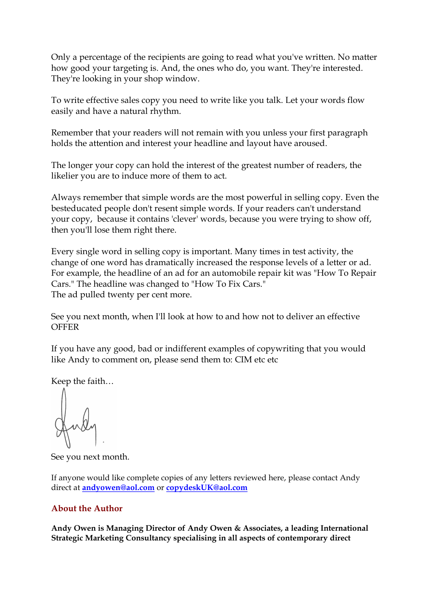Only a percentage of the recipients are going to read what you've written. No matter how good your targeting is. And, the ones who do, you want. They're interested. They're looking in your shop window.

To write effective sales copy you need to write like you talk. Let your words flow easily and have a natural rhythm.

Remember that your readers will not remain with you unless your first paragraph holds the attention and interest your headline and layout have aroused.

The longer your copy can hold the interest of the greatest number of readers, the likelier you are to induce more of them to act.

Always remember that simple words are the most powerful in selling copy. Even the besteducated people don't resent simple words. If your readers can't understand your copy, because it contains 'clever' words, because you were trying to show off, then you'll lose them right there.

Every single word in selling copy is important. Many times in test activity, the change of one word has dramatically increased the response levels of a letter or ad. For example, the headline of an ad for an automobile repair kit was "How To Repair Cars." The headline was changed to "How To Fix Cars." The ad pulled twenty per cent more.

See you next month, when I'll look at how to and how not to deliver an effective **OFFER** 

If you have any good, bad or indifferent examples of copywriting that you would like Andy to comment on, please send them to: CIM etc etc

Keep the faith…

See you next month.

If anyone would like complete copies of any letters reviewed here, please contact Andy direct at **[andyowen@aol.com](mailto:andyowen@aol.com)** or **[copydeskUK@aol.com](mailto:copydeskUK@aol.com)** 

## **About the Author**

**Andy Owen is Managing Director of Andy Owen & Associates, a leading International Strategic Marketing Consultancy specialising in all aspects of contemporary direct**